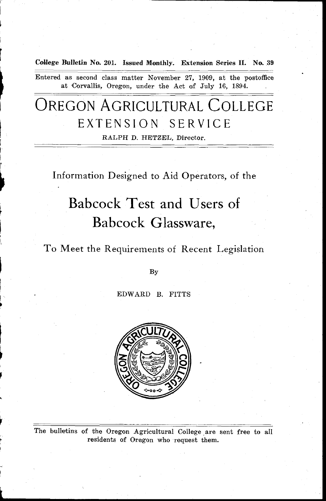**College Bulletin No. 201. Issued Monthly. Extension Series II. No. 39**

Entered as second class matter November 27, 1909, at the postoffice at Corvallis, Oregon, under the Act of July 16, 1894.

## OREGON AGRICULTURAL COLLEGE EXTENSION SERVICE

RALPH D. HETZEL, Director.

Information Designed to Aid Operators, of the

# Babcock Test and Users of Babcock Glassware,

## To Meet the Requirements of Recent Legislation

By

EDWARD B. FITTS



The bulletins of the Oregon Agricultural College are sent free to all residents of Oregon who request them.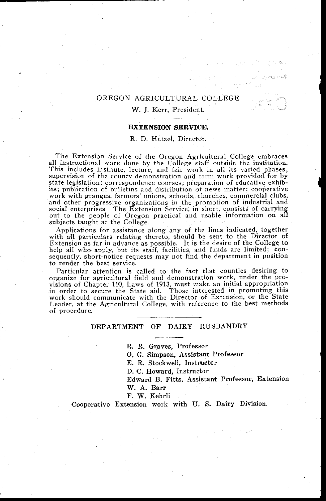### OREGON AGRICULTURAL COLLEGE

#### W. J. Kerr, President.

#### **EXTENSION SERVICE.**

#### R. D. Hetzel, Director.

The Extension Service of the Oregon Agricultural College embraces all instructional work done by the College staff outside the institution. This includes institute, lecture, and fair work in all its varied phases; supervision of the county demonstration and farm work provided for by state legislation; correspondence courses; preparation of educative exhib-its; publication of bulletins and distribution of news matter; cooperative work with granges, farmers' unions, schools, churches, commercial clubs, and other progressive organizations in the promotion of industrial and social enterprises. The Extension Service, in short, consists of carrying out to the people of Oregon practical and usable information on all subjects taught at the College.

Applications for assistance along any of the lines indicated, together with all particulars relating thereto, should be sent to the Director of Extension as far in advance as possible. It is the desire of the College to help all who apply, but its staff, facilities, and funds are limited; consequently, short-notice requests may not find the department in position to render the best service.

Particular attention is called to the fact that counties desiring to organize for agricultural field and demonstration work, under the provisions of Chapter 110, Laws of 1913, must make an initial appropriation in order to secure the State aid. Those interested in promoting this work should communicate with the Director of Extension, or the State Leader, at the Agricultural College, with reference to the best methods of procedure.

#### **DEPARTMENT OF DAIRY HUSBANDRY**

**R. R.** Graves, Professor

0. G. Simpson, Assistant Professor

E. R. Stockwell, Instructor

D. C. Howard, Instructor

Edward B. Fitts, Assistant Professor, Extension

W. A. Barr

F. W. Kehrli

Cooperative Extension work with U. S. Dairy Division.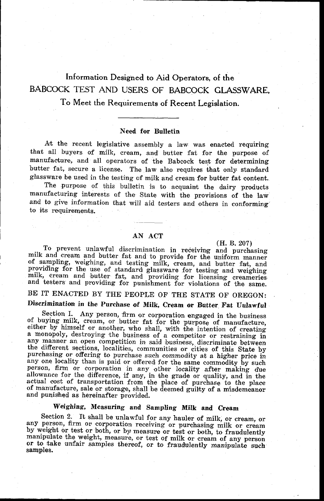## Information Designed to Aid Operators, of the BABCOCK TEST AND USERS OF BABCOCK GLASSWARE,

## To Meet the Requirements of Recent Legislation.

#### Need for Bulletin

At the recent legislative assembly a law was enacted requiring that all buyers of milk, cream, and butter fat for the purpose of manufacture, and all operators of the Babcock test for determining butter fat, secure a license. The law also requires that only standard glassware be used in the testing of milk and cream for butter fat content.

The purpose of this bulletin is to acquaint the dairy products manufacturing interests of the State with the provisions of the law and to give information that will aid testers and others in conforming to its requirements.

#### AN ACT

#### (H. B. 207)

To prevent unlawful discrimination in receiving and purchasing milk and cream and butter fat and to provide for the uniform manner of sampling, weighing, and testing milk, cream, and butter fat, and providing for the use of standard glassware for testing and weighing milk, cream and butter fat, and providing for licensing creameries and testers and providing for punishment for violations of the same

BE IT ENACTED BY THE PEOPLE OF THE STATE OF OREGON:

## Discrimination in the Purchase of Milk, Cream **or Butter**. Fat Unlawful

Section I. Any person, firm or corporation engaged in the business<br>of buying milk, cream, or butter fat for the purpose of manufacture, either by himself or another, who shall, with the intention of creating a monopoly, destroying the business of a competitor or restraining in any manner an open competition in said business, discriminate between the different sections, localities, communities or cities of this State by purchasing or offering to purchase such commodity at a higher price in any one locality than is paid or offered for the same commodity by such person, firm or corporation in any other locality after making due allowance for the difference, if any, in the grade or quality, and in the actual cost of transportation from the place of purchase to the place of manufacture, sale or storage, shall be deemed guilty of a misdemeanor and punished as hereinafter provided.

## *Weighing, Measuring* and Sampling **Milk and Cream**

Section 2. It shall be unlawful for any hauler of milk, or cream, or any person, firm or corporation receiving or purchasing milk or cream by weight or test or both, or by measure or test or both, to fraudulently manipulate the weight, measure, or test of milk or cream of any person<br>or to take unfair samples thereof, or to fraudulently *manipulate such*<br>samples.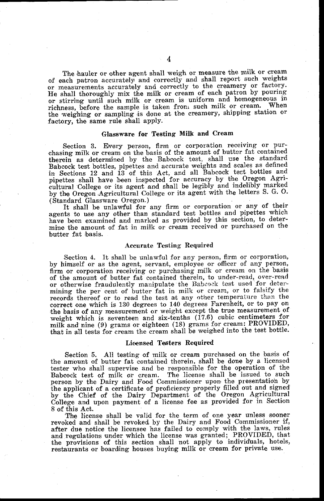The hauler or other agent shall weigh or measure the milk or cream of each patron accurately and correctly and shall report such weights or measurements accurately and correctly to the creamery or factory. He shall thoroughly mix the milk or cream of each patron by pouring or stirring until such milk or cream is uniform and homogeneous in<br>rightness hefore the sample is taken from such milk or cream. When richness, before the sample is taken from such milk or cream. the weighing or sampling is done at the creamery, shipping station or factory, the same rule shall apply.

#### Glassware for Testing Milk and Cream

Section 3. Every person, firm or corporation receiving or purchasing milk or cream on the basis of the amount of butter fat contained therein as determined by the Babcock test, shall use the standard Babcock test bottles, pipettes and accurate weights and scales as defined in Sections 12 and 13 of this Act, and all Babcock test bottles and pipettes shall have been inspected for accuracy by the Oregon Agricultural College or its agent and shall be legibly and indelibly marked by the Oregon Agricultural College or its agent with the letters S. G. 0. (Standard Glassware Oregon.)

It shall be unlawful for any firm or corporation or any of their agents to use any other than standard test bottles and pipettes which have been examined and marked as provided by this section, to determine the amount of fat in milk or cream received or purchased on the butter fat basis.

#### Accurate Testing Required

Section 4. It shall be unlawful for any person, firm or corporation, by himself or as the agent, servant, employee or officer of any person firm or corporation receiving or purchasing milk or cream on the basis of the amount of butter fat contained therein, to under-read, over-read or otherwise fraudulently manipulate the Babcock test used for determining the per cent of butter fat in milk or cream, or to falsify the records thereof or to read the test at any other temperature than the correct one which is 130 degrees to 140 degrees Farenheit, or to pay on the basis of any measurement or weight except the true measurement of weight which is seventeen and six-tenths (17.6) cubic centimeters for milk and nine (9) grams or eighteen (18) grams for cream: PROVIDED, that in all tests for cream the cream shall be weighed into the test bottle.

#### Licensed Testers Required

Section 5. All testing of milk or cream purchased on the basis of the amount of butter fat contained therein, shall be done by a licensed tester who shall supervise and be responsible for the operation of the Babcock test of milk or cream. The license shall be issued to such person by the Dairy and Food Commissioner upon the presentation by the applicant of a certificate of proficiency properly filled out and signed by the Chief of the Dairy Department of the Oregon Agricultural College and upon payment of a license fee as provided for in Section 8 of this Act.

The license shall be valid for the term of one year unless sooner revoked and shall be revoked by the Dairy and Food Commissioner if, after due notice the licensee has failed to comply with the laws, rules and regulations under which the license was granted; PROVIDED, that the provisions of this section shall not apply to individuals, hotels, restaurants or boarding houses buying milk or cream for private use.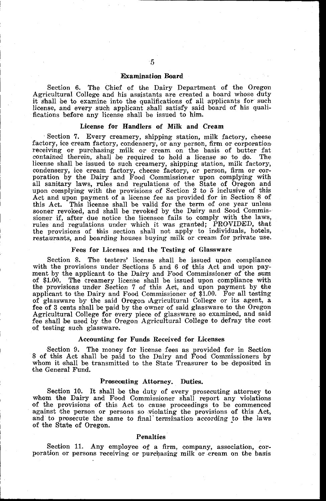#### Examination Board

Section 6. The Chief of the Dairy Department of the Oregon Agricultural College and his assistants are created a board whose duty it shall be to examine into the qualifications of all applicants for such license, and every such applicant shall satisfy said board of his qualifications before any license shall be issued to him.

#### License for Handlers of Milk and Cream

Section 7. Every creamery, shipping station, milk factory, cheese factory, ice cream factory, condensery, or any person, firm or corporation receiving or purchasing milk or cream on the basis of butter fat contained therein, shall be required to hold a license so to do. The license shall be issued to such creamery, shipping station, milk factory, condensery, ice cream factory, cheese factory, or person, firm or corporation by the Dairy and Food Commissioner upon complying with all sanitary laws, rules and regulations of the State of Oregon and upon complying with the provisions of Section 2 to 5 inclusive of this Act and upon payment of a license fee as provided for in Section 8 of this Act. This license shall be valid for the term of one year unless sooner revoked, and shall be revoked by the Dairy and Sood Commissioner if, after due notice the licensee fails to comply with the laws, rules and regulations under which it was granted; PROVIDED, that the provisions of this section shall not apply to individuals, hotels, restaurants, and boarding houses buying milk or cream for private use.

#### Fees for Licenses and the Testing of Glassware

Section 8. The testers' license shall be issued upon compliance with the provisions under Sections 5 and 6 of this Act and upon payment by the applicant to the Dairy and Food Commissioner of the sum of \$1.00. The creamery license shall be issued upon compliance with the provisions under Section 7 of this Act, and upon payment by the applicant to the Dairy and Food Commissioner of \$1.00. For all testing of glassware by the said Oregon Agricultural College or its agent, a fee of 3 cents shall be paid by the owner of said glassware to the Oregon Agricultural College for every piece of glassware so examined, and said fee shall be used by the Oregon Agricultural College to defray the cost of testing such glassware.

#### Accounting for Funds Received for Licenses

Section 9. The money for license fees as provided for in Section 8 of this Act shall be paid to the Dairy and Food Commissioners by whom it shall be transmitted to the State Treasurer to be deposited in the General Fund.

#### **Prosecuting Attorney. Duties.**

Section 10. It shall be the duty of every prosecuting attorney to whom the Dairy and Food Commissioner shall report any violations of the provisions of this Act to cause proceedings to be commenced against the person or persons so violating the provisions of this Act, and to prosecute the same to final' termination according to the laws of the State of Oregon.

#### Penalties

Section 11. Any employee of a firm, company, association, corporation or persons receiving or purchasing milk or cream on the basis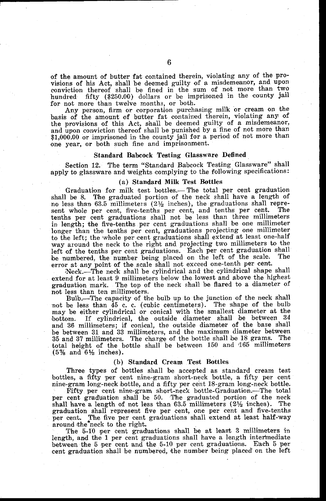of the amount of butter fat contained therein, violating any of the provisions of his Act, shall be deemed guilty of a misdemeanor, and upon conviction thereof shall be fined in the sum of not more than two hundred fifty (\$250.00) dollars or be imprisoned in the county jail for not more than twelve months, or both.

Any person, firm or corporation purchasing milk or cream on the basis of the amount of butter fat contained therein, violating any of the provisions of this Act, shall be deemed guilty of a misdemeanor and upon conviction thereof shall be punished by a fine of not more than \$1,000.00 or imprisoned in the county jail for a period of not more than one year, or both such fine and imprisonment.

#### Standard Babcock Testing Glassware Defined

Section 12. The term "Standard Babcock Testing Glassware" shall apply to glassware and weights complying to the following specifications:

#### (a) Standard Milk Test Bottles

Graduation for milk test bottles.— The total per cent graduation shall be 8. The graduated portion of the neck shall have a length of  $\frac{1}{2}$  no less than 63.5 millimeters (2 $\frac{1}{2}$  inches), the graduations shall represent whole per cent, five-tenths per cent, and tenths per cent. The tenths per cent graduations shall not be less than three millimeters in length; the five-tenths per cent graduations shall be one millimeter longer than the tenths per cent, graduations projecting one millimeter to the left; the 'whole per cent graduations shall extend at least one-half way around the neck to the right and projecting two millimeters to the left of the tenths per cent graduations. Each per cent graduation shall be numbered, the number being placed on the left of the scale. The error at any point of the scale shall not exceed one-tenth per cent.

Neck.—The neck shall be cylindrical and the cylindrical shape shall extend for at least 9 millimeters below the lowest and above the highest graduation mark. The top of the neck shall be flared to a diameter of not less than ten millimeters.

Bulb.—The capacity of the bulb up to the junction of the neck shall not be less than 45 c. c. (cubic centimeters). The shape of the bulb may be either cylindrical or conical with the smallest diameter at the bottom. If cylindrical, the outside diameter shall be between 34 and 36 millimeters; if conical, the outside diameter of the base shall be between 31 and 33 millimeters, and the maximum diameter between 35 and 37 millimeters.. The charge of the bottle shall be 18 grams. The total height of the bottle shall be between 150 and 465 millimeters  $(5\%$  and  $6\frac{1}{2}$  inches).

#### (b) Standard Cream **Test Bottles**

Three types of bottles shall be accepted as standard cream test bottles, a fifty per cent nine-gram short-neck bottle, a fifty per cent nine-gram long-neck bottle, and a fifty per cent 18-gram long-neck bottle.

Fifty per cent nine-gram short-neck bottle-Graduation.—The total per cent graduation shall be 50. The graduated portion of the neck shall have a length of not less than  $63.5$  millimeters  $(2\frac{1}{2})$  inches). The graduation shall represent five per cent, one per cent and five-tenths per cent. The five per cent graduations shall extend at least half-way around the neck to the right.

The 5-10 per cent graduations shall be at least 3 millimeters in length, and the 1 per cent graduations shall have a length intermediate between the 5 per cent and the 5-10 per cent graduations. Each 5 per cent graduation shall be numbered, the number being placed on the left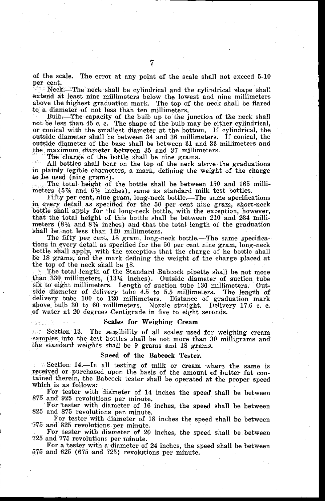of the scale. The error at any point of the scale shall not exceed 5-10 per cent.

Neck.—The neck shall be cylindrical and the cylindrical shape shall extend at least nine millimeters below the lowest and nine millimeters above the highest graduation mark. The top of the neck shall be flared to a diameter of not less than ten millimeters.

Bulb. The capacity of the bulb up to the junction of the neck shall not be less than 45 c. c. The shape of the bulb may be either cylindrical, or conical with the smallest diameter at the bottom. If cylindrical, the outside diameter shall be between 34 and 36 millimeters. If conical, the outside diameter of the base shall be between 31 and 33 millimeters and the, maximum diameter between 35 and 37 millimeters.

The charge of the bottle shall be nine grams.

All bottles shall bear on the top of the neck above the graduations in plainly legible characters, a mark, defining the weight of the charge to be used (nine grams).

The total height of the bottle shall be between 150 and 165 millimeters  $(5\%$  and  $6\frac{1}{2}$  inches), same as standard milk test bottles.

Fifty per cent, nine gram, long-neck bottle.—The same specifications in every detail as specified for the 50 per cent nine *gram,* short-neck bottle shall apply for the long-neck bottle, with the exception, however, that the total height of this bottle shall be between 210 and 234 millimeters  $(8\frac{1}{4}$  and  $8\frac{7}{8}$  inches) and that the total length of the graduation shall be not less than 120 millimeters.

The fifty per cent, 18 gram, long-neck bottle.—The same specifications in every detail as specified for the 50 per cent nine gram, long-neck bottle shall apply, with the exception that the charge of he bottle shall be 18 grams, and the mark defining the weight of the charge placed at the top of the neck shall be 48.

The total length of the Standard Babcock pipette shall be not more than 330 millimeters, (1314 inches). Outside diameter of suction tube six to eight millimeters. Length of suction tube 130 millimeters. Outside diameter of delivery tube  $4.5$  to  $5.5$  millimeters. The length of delivery tube 100 to 120 millimeters. Distance of graduation mark above bulb 30 to 60 millimeters. Nozzle straight. Delivery 17.6 c. c. above bulb 30 to 60 millimeters. Nozzle straight. of water at 20 degrees Centigrade in five to eight seconds.

#### Scales for Weighing Cream

Section 13. The sensibility of all scales used for weighing cream samples into the test bottles shall be not more than 30 milligrams and the standard weights shall be 9 grams and 18 grams.

#### **Speed of the Babcock Tester.**

Section 14.—In all testing of milk or cream where the same is received or purchased upon the basis of the amount of butter fat contained therein, the Babcock tester shall be operated at the proper speed which is as follows:

For tester with diameter of 14 inches the speed' shall be between 875 and 925 revolutions per minute.

For tester with diameter of 16 inches, the speed shall be between 825 and 875 revolutions per minute.

For tester with diameter of 18 inches the speed shall be between 775 and 825 revolutions per minute.

For tester with diameter of 20 *inches,* the speed shall be between 725 and 775 revolutions per minute.

For a tester with a diameter of 24 inches, the speed shall be between 575 and 625 (675 and 725) revolutions per minute.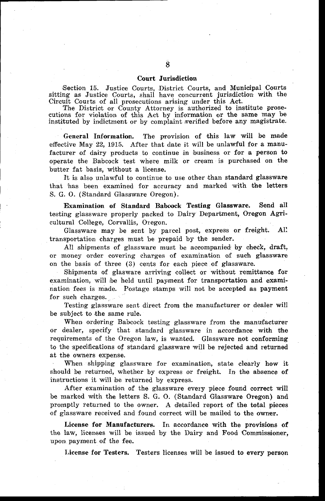#### Court Jurisdiction

Section 15. Justice Courts, District Courts, and Municipal Courts sitting as Justice Courts, shall have concurrent jurisdiction with the Circuit Courts of all prosecutions arising under this Act.

The District or County Attorney is authorized to institute prosecutions for violation of this Act by information or the same may be instituted by indictment or by complaint verified before any magistrate.

General Information. The provision of this law will be made effective May 22, 1915. After that date it will be unlawful for a manufacturer of dairy products to continue in business or for a person to operate the Babcock test where milk or cream is purchased on the butter fat basis, without a license.

It is also unlawful to continue to use other than standard glassware that has been examined for accuracy and marked with the letters S. G. 0. (Standard Glassware Oregon).

Examination of Standard Babcock Testing Glassware. Send all testing glassware properly packed to Dairy Department, Oregon Agricultural College, Corvallis, Oregon.

Glassware may be sent by parcel post, express or freight. All transportation charges must be prepaid by the sender.

All shipments of glassware must be accompanied by check, draft, or money order covering charges of examination of such glassware on the basis of three (3) cents for each piece of glassware.

Shipments of glasware arriving collect or without remittance for examination, will be held until payment for transportation and examination fees is made. Postage stamps will not be accepted as payment for such charges.

Testing glassware sent direct from the manufacturer or dealer will be subject to the same rule.

When ordering Babcock testing glassware from the manufacturer or dealer, specify that standard glassware in accordance with the requirements of the Oregon law, is wanted. Glassware not conforming to the specifications of standard glassware will be rejected and returned at the owners expense.

When shipping glassware for examination, state clearly how it should be returned, whether by express or freight. In the absence of instructions it will be returned by express.

After examination of the glassware every piece found correct will be marked with the letters S. G. 0. (Standard Glassware Oregon) and promptly returned to the owner. A detailed report of the total pieces of glassware received and found correct will be mailed to the owner.

License for Manufacturers. In accordance with the provisions of the law, licenses will be issued by the Dairy and Food Commissioner, upon payment of the fee.

**License for Testers.** Testers licenses will be issued to every person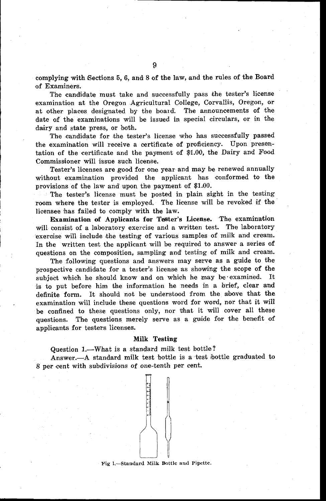of Examiners. The candidate must take and successfully pass the tester's license examination at the Oregon Agricultural College, Corvallis, Oregon, or at other places designated by the board. The announcements of the date of the examinations will be issued in special circulars, or in the dairy and state press, or both.

The candidate for the tester's license who has successfully passed the examination will receive a certificate of proficiency. Upon presentation of the certificate and the payment of \$1.00, the Dairy and Food Commissioner will issue such license.

Tester's licenses are good for one year and may be renewed annually without examination provided the applicant has conformed to the provisions of the law and upon the payment of \$1.00.

The tester's license must be posted in plain sight in the testing room where the tester is employed. The license will be revoked if the licensee has failed to comply with the law.

**Examination of Applicants for Tester's** License. The examination will consist of a laboratory exercise and a written test. The laboratory exercise will include the testing of various samples of milk and cream. In the written test the applicant will be required to answer a series of questions on the composition, sampling and testing of milk and cream.

The following questions and answers may serve as a guide to the prospective candidate for a tester's license as showing the scope of the subject which he should know and on which he may be 'examined. It is to put before him the information he needs in a brief, clear and definite form. It should not be understood from the above that the examination will include these questions word for word, nor that it will be confined to these questions only, nor that it will cover all these questions. The questions merely serve as a guide for the benefit of applicants for testers licenses.

#### Milk Testing

Question 1.—What is a standard milk test bottle?

Answer.—A standard milk test bottle is a test bottle graduated to 8 per cent with subdivisions of one-tenth per cent.



Fig 1.—Standard Milk Bottle and Pipette.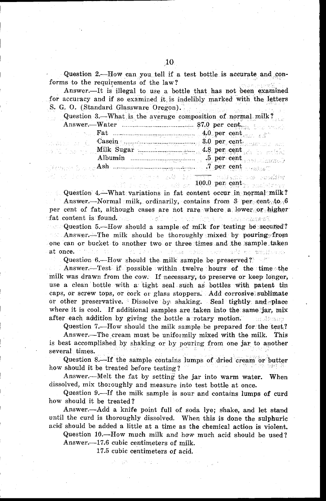Question 2.—How can you tell if a test bottle is accurate and conforms to the requirements of the law?

Answer.—It is illegal to use a bottle that has not been examined for accuracy and if so examined it, is indelibly marked with the letters S. G. 0. (Standard Glassware Oregon).

Question 3.—What is, the average composition of normal milk?

|  | <b>Example 1.1</b> Fat $\frac{1}{2}$ and $\frac{1}{2}$ and $\frac{1}{2}$ and $\frac{1}{2}$ and $\frac{1}{2}$ and $\frac{1}{2}$ and $\frac{1}{2}$ and $\frac{1}{2}$ and $\frac{1}{2}$ and $\frac{1}{2}$ and $\frac{1}{2}$ and $\frac{1}{2}$ and $\frac{1}{2}$ and $\frac{1}{2}$ and $\frac{1}{2$ |  |  |
|--|-------------------------------------------------------------------------------------------------------------------------------------------------------------------------------------------------------------------------------------------------------------------------------------------------|--|--|
|  | Easein Casein Casein Communication of the Second Communication of the Case of the Case of the Case of the Case of the Case of the Case of the Case of the Case of the Case of the Case of the Case of the Case of the Case of                                                                   |  |  |
|  |                                                                                                                                                                                                                                                                                                 |  |  |
|  | Albumin $\ldots$ $\ldots$ $\ldots$ $\ldots$ $\ldots$ $\ldots$ $\ldots$ $\ldots$ $\ldots$ $\ldots$                                                                                                                                                                                               |  |  |
|  | , is that $\mathbb{A}$ she we have a second constant $\mathcal{J}$ per cent arrange $\mathbb{C}$                                                                                                                                                                                                |  |  |
|  |                                                                                                                                                                                                                                                                                                 |  |  |

tan digest add het <del>verk</del> valdamis dan danafder<br>1000.00 per central **100.0 per cent**ral madelsoner

Question 4.—What variations in fat content occur in normal milk? Answer.—Normal milk, ordinarily, contains from  $3$  per cent to  $6$ per cent of fat, although cases are not rare where a lower or higher of at content is found. We had the content of the property of the contents of the

Question 5.—How should a sample of milk for testing be secuted? mat. Answer.—The milk should be thoroughly mixed by pouring from one can or bucket to another two or three times and the sample taken at once. an Ing palutua pekerbang ada menggalakan

Question 6.—How should the milk sample be preserved?

Answer.—Test if possible within twelve hours of the time the milk was drawn from the cow. If necessary, to preserve or keep longer, use a clean bottle with a tight seal such as bottles with patent tin caps, or screw tops, or cork or glass stoppers. Add corrosive sublimate or other preservative. Dissolve by shaking. Seal tightly and place where it is cool. If additional samples are taken into the same jar, mix after each addition by *giving* the bottle a rotary motion. . เจอเดือนของ

Question 7.—How should the milk sample be prepared for the test?

Answer.—The cream must be uniformily mixed with the milk. This *is* best accomplished by shaking or by pouring from one jar to another several times.

Question 8.—If the sample contains lumps of dried cream or butter how should it be treated before testing?

Answer.—Melt the fat by setting the jar into warm water. When dissolved, mix thoroughly and measure into test bottle at once.

Question 9.—If the milk sample is sour and contains lumps of curd how should it be treated?

Answer.—Add a knife point full of soda lye; shake, and let stand until the curd is thoroughly dissolved. When this is done the sulphuric acid should be added a little at a time as the chemical action is violent.

Question 10.—How much milk and how much acid should be used? Answer.-17.6 cubic centimeters of milk.

17.5 cubic centimeters of acid.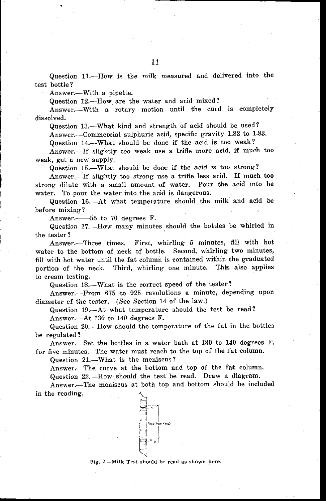Question 11.—How is the milk measured and delivered into the test bottle?

Answer.—With a pipette.

Question 12.—How are the water and acid mixed?

Answer.—With a rotary motion until the curd is completely dissolved.

Question 13.—What kind and strength of acid' should be used?

Answer.—Commercial sulphuric acid, specific gravity 1.82 to 1.83.

Question 14.—What should be done if the acid is too weak?

Answer.—If slightly too weak use a trifle more acid, if much too weak, get a new supply.

Question 15.—What should be done if the acid is too strong?

Answer.—If slightly too strong use a trifle less acid. If much too strong dilute with a small amount of water. Pour the acid into he water. To pour the water into the acid is dangerous.

Question 16.—At what temperature should the milk and acid be before mixing?

Answer. 55 to 70 degrees F.

Question 17.—Haw many minutes should the bottles be whirled in the tester ?

Answer.—Three times. First, whirling 5 minutes, fill with hot water to the bottom of neck of bottle. Second, whirling two minutes, fill with hot water until the fat column is contained within the graduated portion of the neck. Third, whirling one minute. This also applies to cream testing.

Question 18.—What is the correct speed of the tester?

Answer.—From 675 to 925 revolutions a minute, depending upon diameter of the tester. *(See* Section 14 of the law.)

Question 19.—At what temperature should the test be read?

Answer.—At 130 to 140 degrees F.

Question 20.—How should the temperature of the fat in the bottles be regulated?

Answer.—Set the bottles in a water bath at 130 to 140 degrees F. for five minutes. The water must reach to the top of the fat column.

Question 21.—What is the meniscus?

Answer.—The curve at the bottom and top of the fat column. Question 22.—How should' the test be read. Draw a diagram.

Answer.—The meniscus at both top and bottom should be included in the reading.



Fig. 2.—Milk Test should be read as shown here.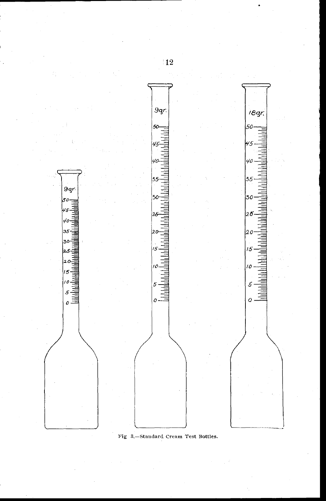

Fig 3.—Standard Cream Test Bottles.

 $\frac{1}{2}$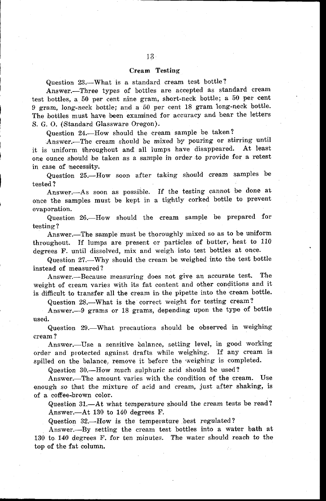#### Cream Testing

Question 23.—What is a standard cream test bottle?

Answer.—Three types of bottles are accepted as standard cream test bottles, a 50 per cent nine gram, short-neck bottle; a 50 per cent 9 gram, long-neck bottle; and a 50 per cent 18 gram long-neck bottle. The bottles must have been examined for accuracy and bear the letters S. G. 0. (Standard Glassware Oregon).

Question 24.—How should the cream sample be taken?

Answer.—The cream should be mixed by pouring or stirring until it is uniform throughout and all lumps have disappeared. At least one ounce should be taken as a sample in order to provide for a retest in case of necessity.

Question 25.—How soon after taking should cream samples be tested?

Answer.—As soon as possible. If the testing cannot be done at once the samples must be kept in a tightly corked bottle to prevent evaporation.

Question 26.—How should the cream sample be prepared for testing?

Answer.—The sample must be thoroughly mixed so as to be uniform throughout. If lumps are present or particles of butter, heat to 110 degrees F. until dissolved, mix and weigh into test bottles at once.

Question 27.—Why should the cream be weighed into the test bottle instead of measured?

Answer.—Because measuring does not give an accurate test. The weight of cream varies with its fat content and other conditions and it is difficult to transfer all the cream in the pipette into the cream bottle.

Question 28.—What is the correct weight for testing cream?

Answer.-9 grams or 18 grams, depending upon the type of bottle used.

Question 29.—What precautions should be observed in weighing cream?

Answer.—Use a sensitive balance, setting level, in good working order and protected against drafts while weighing. If any cream is spilled on the balance, remove it before the weighing is completed.

Question 30.—How much sulphuric acid should be used?

Answer.—The amount varies with the condition of the cream. Use enough so that the mixture of acid and cream, just after shaking, is of a coffee-brown color.

Question 31.—At what temperature should the cream tests be read? Answer.—At 130 to 140 degrees F.

Question 32.—How is the temperature best regulated?

Answer.—By setting the cream test bottles into a water bath at 130 to. 140 degrees F. for ten minutes. The water should reach to the top of the fat column.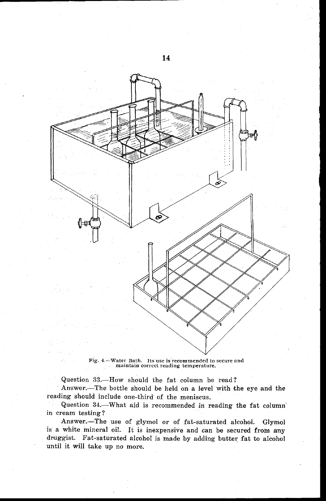

*Fig.* 4 —Water Bath. Its use is recommended to secure and maintain correct reading temperature.

Question 33.—How should the fat column be read? Answer.—The bottle should be held on a level with the eye and the reading Should include one-third of the meniscus.

Question 34.—What aid is recommended in reading the fat column in cream testing?

Answer.—The use of glymol or of fat-saturated alcohol. Glymol is a white mineral oil. It is inexpensive and can be secured from any druggist. Fat-saturated alcohol is made by adding butter fat to alcohol until it will take up no more.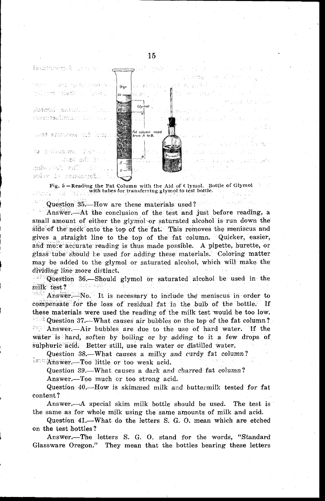

Fig. 5.—Reading the Fat Column with the Aid of C lymol. Bottle of Glymol with tubes for transferring glymol to test bottle. á.

Question 35.—How are these materials used?

Answer.—At the conclusion of the test and just before reading, a small amount of either the glyrnol or saturated alcohol is run down the side of the neck onto the top of the fat. This removes the meniscus and *gives* a straight line to the top of the fat column. Quicker, easier, and mole accurate reading is thus made possible. A pipette, burette, or glass tube should te used for adding these materials. Coloring matter may be added to the glymol or saturated alcohol, which will make the dividing line more distinct.

 $\frac{1}{2}$ . Question 36.—Should glymol or saturated alcohol be used in the instruction of the same of the state of the state of the state of the state of the state of the state of the state of the state of the state of the milk test?

Answer.—No. It is necessary to include the meniscus in order to compensate for the loss of residual fat *in* the bulb of the bottle. If these materials were used the reading of the milk test would be too low. Question 37.—What causes air bubbles on the top of the fat column? Answer.—Air bubbles are due to the use of hard water. If the water is hard, soften by boiling or by adding to it a few drops of sulphuric acid. Better still, use rain water or distilled water.

Question 38.—What causes a milky and curdy fat column? Answer.—Too little or too weak acid.

Question 39.—What causes a dark and charred fat column?

Answer.—Too much or too strong acid.

Question 40.—How is skimmed milk and buttermilk tested for fat content?

Answer.--A special skim milk bottle should be used. The test *is* the same as for whole milk using the same amounts of milk and acid.

Question 41.—What do the letters S. G. 0. mean which are etched on the test bottles?

Answer.—The letters S. G. 0. stand for the words, "Standard Glassware Oregon." They mean that the bottles bearing these letters